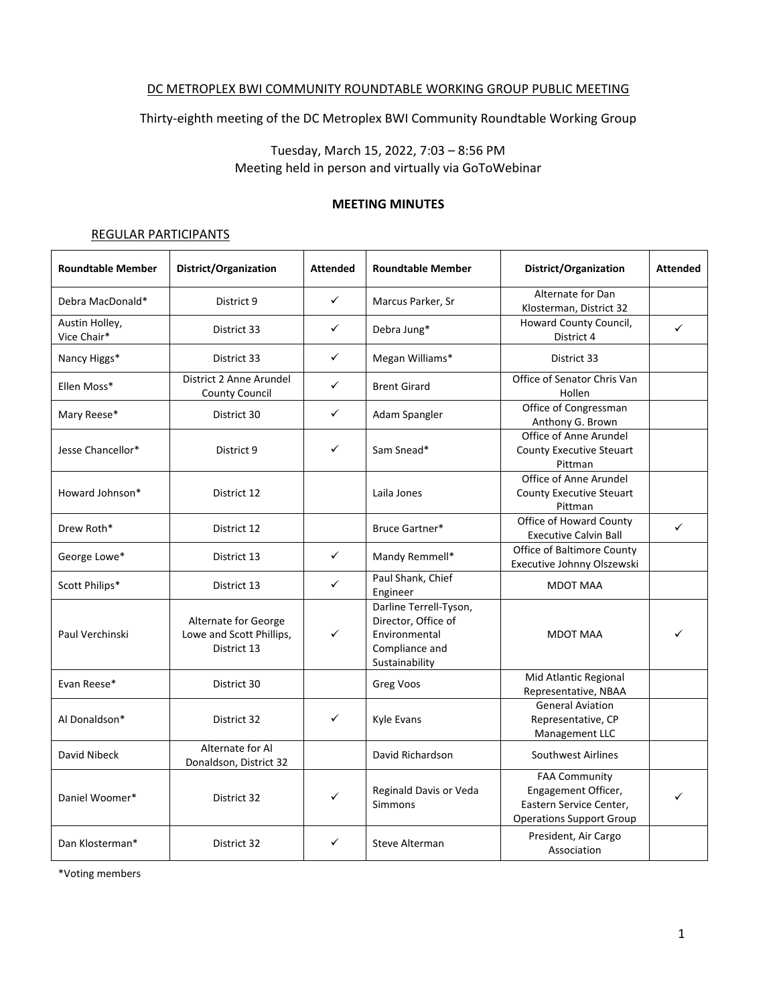#### DC METROPLEX BWI COMMUNITY ROUNDTABLE WORKING GROUP PUBLIC MEETING

Thirty-eighth meeting of the DC Metroplex BWI Community Roundtable Working Group

Tuesday, March 15, 2022, 7:03 – 8:56 PM Meeting held in person and virtually via GoToWebinar

#### **MEETING MINUTES**

#### REGULAR PARTICIPANTS

| <b>Roundtable Member</b>      | District/Organization                                           | <b>Attended</b> | <b>Roundtable Member</b>                                                                           | District/Organization                                                                                     | <b>Attended</b> |
|-------------------------------|-----------------------------------------------------------------|-----------------|----------------------------------------------------------------------------------------------------|-----------------------------------------------------------------------------------------------------------|-----------------|
| Debra MacDonald*              | District 9                                                      | ✓               | Marcus Parker, Sr                                                                                  | Alternate for Dan<br>Klosterman, District 32                                                              |                 |
| Austin Holley,<br>Vice Chair* | District 33                                                     | ✓               | Debra Jung*                                                                                        | Howard County Council,<br>District 4                                                                      | ✓               |
| Nancy Higgs*                  | District 33                                                     | ✓               | Megan Williams*                                                                                    | District 33                                                                                               |                 |
| Ellen Moss*                   | District 2 Anne Arundel<br><b>County Council</b>                | ✓               | <b>Brent Girard</b>                                                                                | Office of Senator Chris Van<br>Hollen                                                                     |                 |
| Mary Reese*                   | District 30                                                     | $\checkmark$    | Adam Spangler                                                                                      | Office of Congressman<br>Anthony G. Brown                                                                 |                 |
| Jesse Chancellor*             | District 9                                                      | ✓               | Sam Snead*                                                                                         | Office of Anne Arundel<br><b>County Executive Steuart</b><br>Pittman                                      |                 |
| Howard Johnson*               | District 12                                                     |                 | Laila Jones                                                                                        | Office of Anne Arundel<br>County Executive Steuart<br>Pittman                                             |                 |
| Drew Roth*                    | District 12                                                     |                 | Bruce Gartner*                                                                                     | Office of Howard County<br><b>Executive Calvin Ball</b>                                                   | ✓               |
| George Lowe*                  | District 13                                                     | ✓               | Mandy Remmell*                                                                                     | <b>Office of Baltimore County</b><br>Executive Johnny Olszewski                                           |                 |
| Scott Philips*                | District 13                                                     | ✓               | Paul Shank, Chief<br>Engineer                                                                      | <b>MDOT MAA</b>                                                                                           |                 |
| Paul Verchinski               | Alternate for George<br>Lowe and Scott Phillips,<br>District 13 | ✓               | Darline Terrell-Tyson,<br>Director, Office of<br>Environmental<br>Compliance and<br>Sustainability | <b>MDOT MAA</b>                                                                                           |                 |
| Evan Reese*                   | District 30                                                     |                 | Greg Voos                                                                                          | Mid Atlantic Regional<br>Representative, NBAA                                                             |                 |
| Al Donaldson*                 | District 32                                                     | ✓               | Kyle Evans                                                                                         | <b>General Aviation</b><br>Representative, CP<br>Management LLC                                           |                 |
| David Nibeck                  | Alternate for Al<br>Donaldson, District 32                      |                 | David Richardson                                                                                   | Southwest Airlines                                                                                        |                 |
| Daniel Woomer*                | District 32                                                     | ✓               | Reginald Davis or Veda<br>Simmons                                                                  | <b>FAA Community</b><br>Engagement Officer,<br>Eastern Service Center,<br><b>Operations Support Group</b> | ✓               |
| Dan Klosterman*               | District 32                                                     | ✓               | Steve Alterman                                                                                     | President, Air Cargo<br>Association                                                                       |                 |

\*Voting members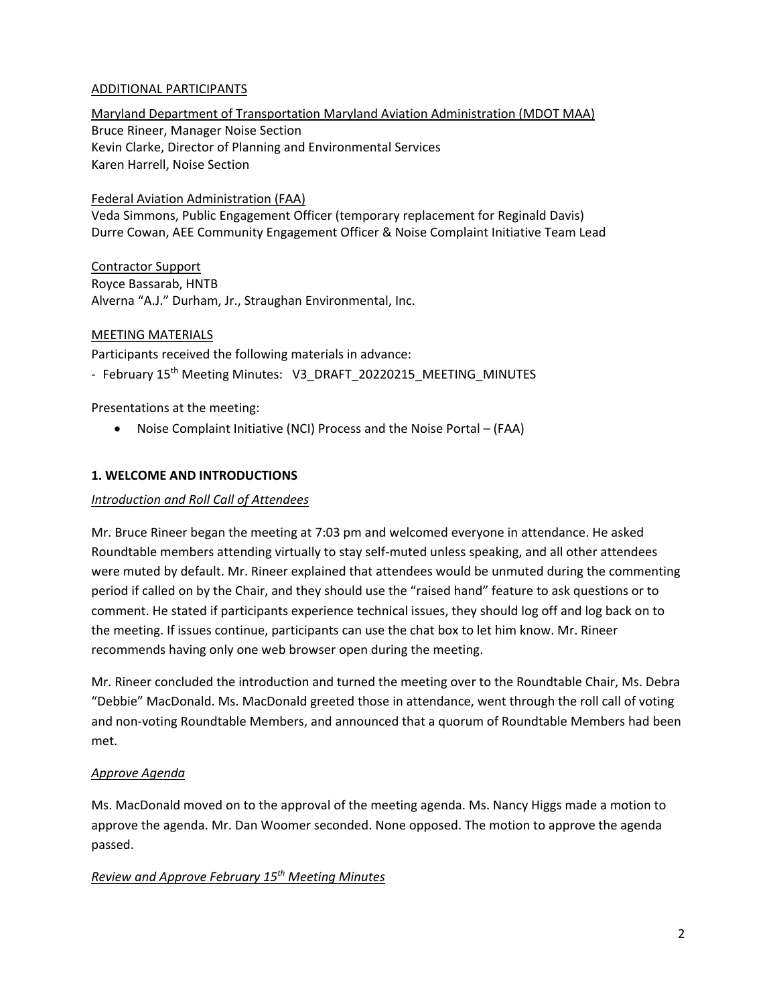# ADDITIONAL PARTICIPANTS

Maryland Department of Transportation Maryland Aviation Administration (MDOT MAA) Bruce Rineer, Manager Noise Section Kevin Clarke, Director of Planning and Environmental Services Karen Harrell, Noise Section

## Federal Aviation Administration (FAA)

Veda Simmons, Public Engagement Officer (temporary replacement for Reginald Davis) Durre Cowan, AEE Community Engagement Officer & Noise Complaint Initiative Team Lead

Contractor Support Royce Bassarab, HNTB Alverna "A.J." Durham, Jr., Straughan Environmental, Inc.

# MEETING MATERIALS

Participants received the following materials in advance:

- February 15<sup>th</sup> Meeting Minutes: V3\_DRAFT\_20220215\_MEETING\_MINUTES

Presentations at the meeting:

• Noise Complaint Initiative (NCI) Process and the Noise Portal – (FAA)

# **1. WELCOME AND INTRODUCTIONS**

### *Introduction and Roll Call of Attendees*

Mr. Bruce Rineer began the meeting at 7:03 pm and welcomed everyone in attendance. He asked Roundtable members attending virtually to stay self-muted unless speaking, and all other attendees were muted by default. Mr. Rineer explained that attendees would be unmuted during the commenting period if called on by the Chair, and they should use the "raised hand" feature to ask questions or to comment. He stated if participants experience technical issues, they should log off and log back on to the meeting. If issues continue, participants can use the chat box to let him know. Mr. Rineer recommends having only one web browser open during the meeting.

Mr. Rineer concluded the introduction and turned the meeting over to the Roundtable Chair, Ms. Debra "Debbie" MacDonald. Ms. MacDonald greeted those in attendance, went through the roll call of voting and non-voting Roundtable Members, and announced that a quorum of Roundtable Members had been met.

### *Approve Agenda*

Ms. MacDonald moved on to the approval of the meeting agenda. Ms. Nancy Higgs made a motion to approve the agenda. Mr. Dan Woomer seconded. None opposed. The motion to approve the agenda passed.

# *Review and Approve February 15th Meeting Minutes*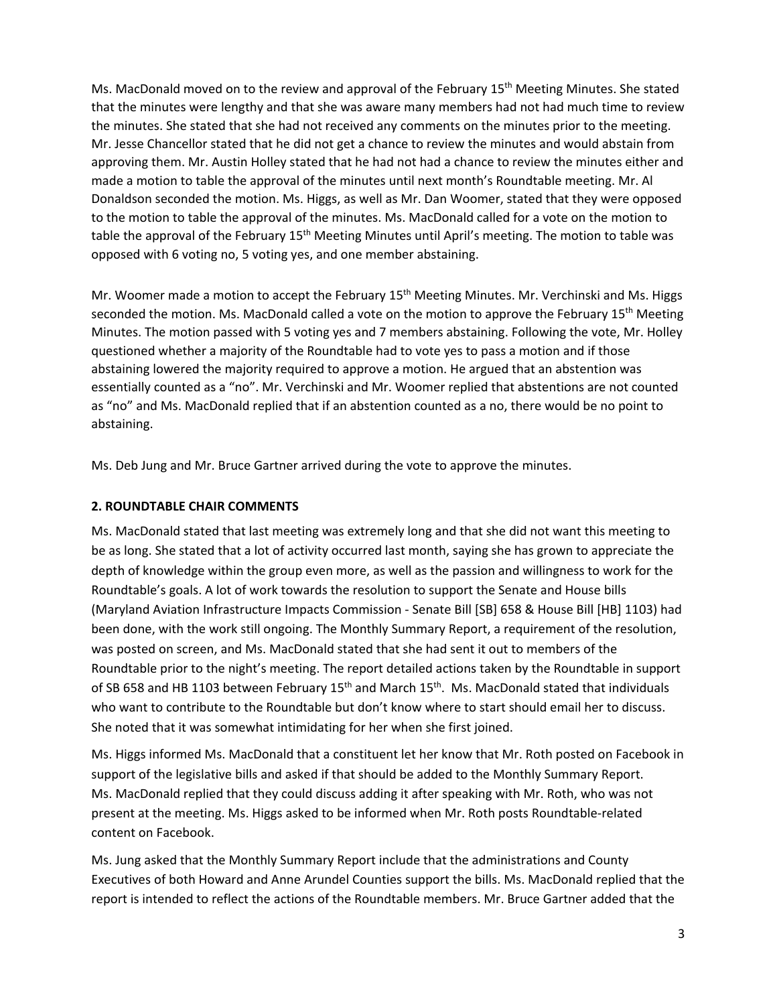Ms. MacDonald moved on to the review and approval of the February 15<sup>th</sup> Meeting Minutes. She stated that the minutes were lengthy and that she was aware many members had not had much time to review the minutes. She stated that she had not received any comments on the minutes prior to the meeting. Mr. Jesse Chancellor stated that he did not get a chance to review the minutes and would abstain from approving them. Mr. Austin Holley stated that he had not had a chance to review the minutes either and made a motion to table the approval of the minutes until next month's Roundtable meeting. Mr. Al Donaldson seconded the motion. Ms. Higgs, as well as Mr. Dan Woomer, stated that they were opposed to the motion to table the approval of the minutes. Ms. MacDonald called for a vote on the motion to table the approval of the February 15<sup>th</sup> Meeting Minutes until April's meeting. The motion to table was opposed with 6 voting no, 5 voting yes, and one member abstaining.

Mr. Woomer made a motion to accept the February 15<sup>th</sup> Meeting Minutes. Mr. Verchinski and Ms. Higgs seconded the motion. Ms. MacDonald called a vote on the motion to approve the February  $15<sup>th</sup>$  Meeting Minutes. The motion passed with 5 voting yes and 7 members abstaining. Following the vote, Mr. Holley questioned whether a majority of the Roundtable had to vote yes to pass a motion and if those abstaining lowered the majority required to approve a motion. He argued that an abstention was essentially counted as a "no". Mr. Verchinski and Mr. Woomer replied that abstentions are not counted as "no" and Ms. MacDonald replied that if an abstention counted as a no, there would be no point to abstaining.

Ms. Deb Jung and Mr. Bruce Gartner arrived during the vote to approve the minutes.

# **2. ROUNDTABLE CHAIR COMMENTS**

Ms. MacDonald stated that last meeting was extremely long and that she did not want this meeting to be as long. She stated that a lot of activity occurred last month, saying she has grown to appreciate the depth of knowledge within the group even more, as well as the passion and willingness to work for the Roundtable's goals. A lot of work towards the resolution to support the Senate and House bills (Maryland Aviation Infrastructure Impacts Commission - Senate Bill [SB] 658 & House Bill [HB] 1103) had been done, with the work still ongoing. The Monthly Summary Report, a requirement of the resolution, was posted on screen, and Ms. MacDonald stated that she had sent it out to members of the Roundtable prior to the night's meeting. The report detailed actions taken by the Roundtable in support of SB 658 and HB 1103 between February 15<sup>th</sup> and March 15<sup>th</sup>. Ms. MacDonald stated that individuals who want to contribute to the Roundtable but don't know where to start should email her to discuss. She noted that it was somewhat intimidating for her when she first joined.

Ms. Higgs informed Ms. MacDonald that a constituent let her know that Mr. Roth posted on Facebook in support of the legislative bills and asked if that should be added to the Monthly Summary Report. Ms. MacDonald replied that they could discuss adding it after speaking with Mr. Roth, who was not present at the meeting. Ms. Higgs asked to be informed when Mr. Roth posts Roundtable-related content on Facebook.

Ms. Jung asked that the Monthly Summary Report include that the administrations and County Executives of both Howard and Anne Arundel Counties support the bills. Ms. MacDonald replied that the report is intended to reflect the actions of the Roundtable members. Mr. Bruce Gartner added that the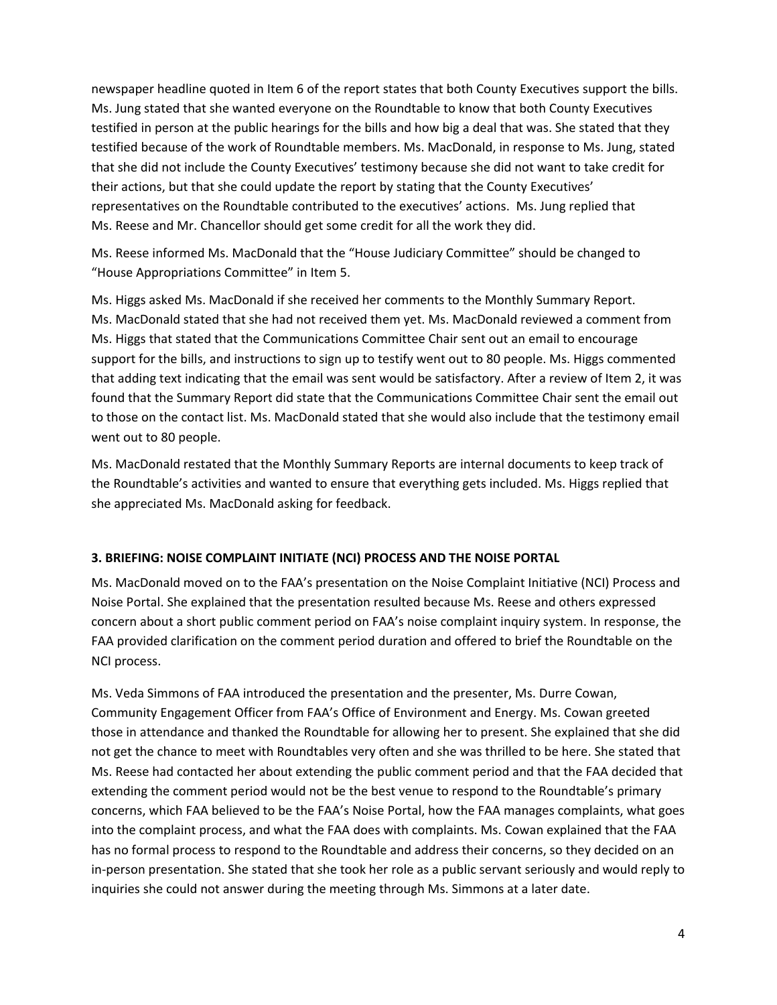newspaper headline quoted in Item 6 of the report states that both County Executives support the bills. Ms. Jung stated that she wanted everyone on the Roundtable to know that both County Executives testified in person at the public hearings for the bills and how big a deal that was. She stated that they testified because of the work of Roundtable members. Ms. MacDonald, in response to Ms. Jung, stated that she did not include the County Executives' testimony because she did not want to take credit for their actions, but that she could update the report by stating that the County Executives' representatives on the Roundtable contributed to the executives' actions. Ms. Jung replied that Ms. Reese and Mr. Chancellor should get some credit for all the work they did.

Ms. Reese informed Ms. MacDonald that the "House Judiciary Committee" should be changed to "House Appropriations Committee" in Item 5.

Ms. Higgs asked Ms. MacDonald if she received her comments to the Monthly Summary Report. Ms. MacDonald stated that she had not received them yet. Ms. MacDonald reviewed a comment from Ms. Higgs that stated that the Communications Committee Chair sent out an email to encourage support for the bills, and instructions to sign up to testify went out to 80 people. Ms. Higgs commented that adding text indicating that the email was sent would be satisfactory. After a review of Item 2, it was found that the Summary Report did state that the Communications Committee Chair sent the email out to those on the contact list. Ms. MacDonald stated that she would also include that the testimony email went out to 80 people.

Ms. MacDonald restated that the Monthly Summary Reports are internal documents to keep track of the Roundtable's activities and wanted to ensure that everything gets included. Ms. Higgs replied that she appreciated Ms. MacDonald asking for feedback.

### **3. BRIEFING: NOISE COMPLAINT INITIATE (NCI) PROCESS AND THE NOISE PORTAL**

Ms. MacDonald moved on to the FAA's presentation on the Noise Complaint Initiative (NCI) Process and Noise Portal. She explained that the presentation resulted because Ms. Reese and others expressed concern about a short public comment period on FAA's noise complaint inquiry system. In response, the FAA provided clarification on the comment period duration and offered to brief the Roundtable on the NCI process.

Ms. Veda Simmons of FAA introduced the presentation and the presenter, Ms. Durre Cowan, Community Engagement Officer from FAA's Office of Environment and Energy. Ms. Cowan greeted those in attendance and thanked the Roundtable for allowing her to present. She explained that she did not get the chance to meet with Roundtables very often and she was thrilled to be here. She stated that Ms. Reese had contacted her about extending the public comment period and that the FAA decided that extending the comment period would not be the best venue to respond to the Roundtable's primary concerns, which FAA believed to be the FAA's Noise Portal, how the FAA manages complaints, what goes into the complaint process, and what the FAA does with complaints. Ms. Cowan explained that the FAA has no formal process to respond to the Roundtable and address their concerns, so they decided on an in-person presentation. She stated that she took her role as a public servant seriously and would reply to inquiries she could not answer during the meeting through Ms. Simmons at a later date.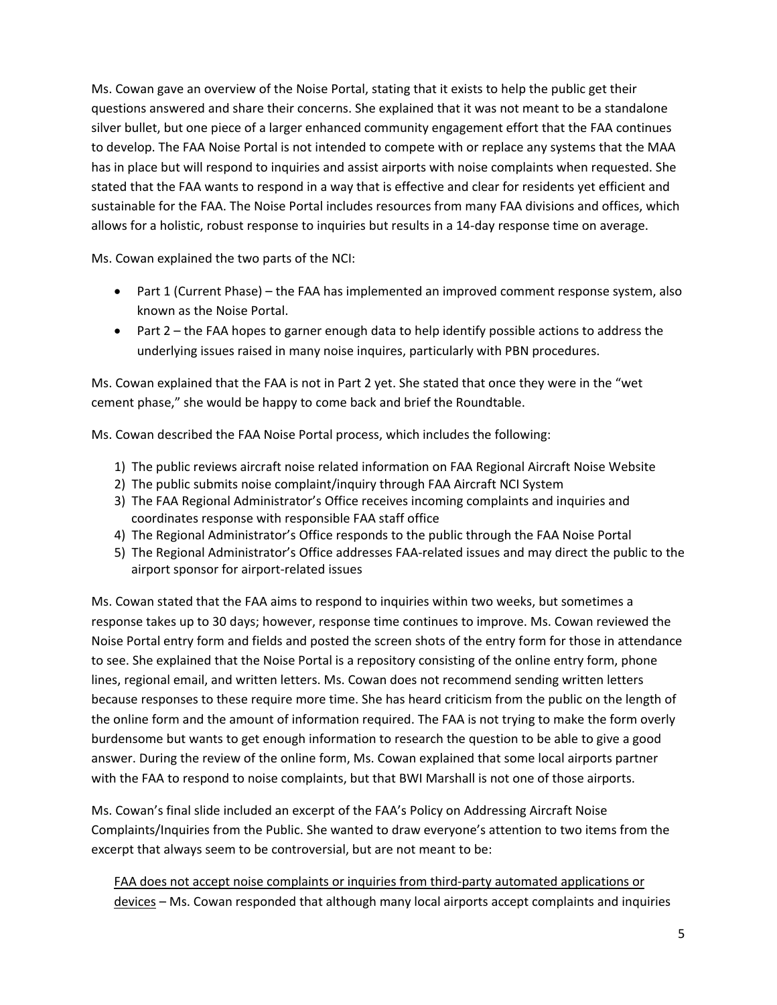Ms. Cowan gave an overview of the Noise Portal, stating that it exists to help the public get their questions answered and share their concerns. She explained that it was not meant to be a standalone silver bullet, but one piece of a larger enhanced community engagement effort that the FAA continues to develop. The FAA Noise Portal is not intended to compete with or replace any systems that the MAA has in place but will respond to inquiries and assist airports with noise complaints when requested. She stated that the FAA wants to respond in a way that is effective and clear for residents yet efficient and sustainable for the FAA. The Noise Portal includes resources from many FAA divisions and offices, which allows for a holistic, robust response to inquiries but results in a 14-day response time on average.

Ms. Cowan explained the two parts of the NCI:

- Part 1 (Current Phase) the FAA has implemented an improved comment response system, also known as the Noise Portal.
- Part 2 the FAA hopes to garner enough data to help identify possible actions to address the underlying issues raised in many noise inquires, particularly with PBN procedures.

Ms. Cowan explained that the FAA is not in Part 2 yet. She stated that once they were in the "wet cement phase," she would be happy to come back and brief the Roundtable.

Ms. Cowan described the FAA Noise Portal process, which includes the following:

- 1) The public reviews aircraft noise related information on FAA Regional Aircraft Noise Website
- 2) The public submits noise complaint/inquiry through FAA Aircraft NCI System
- 3) The FAA Regional Administrator's Office receives incoming complaints and inquiries and coordinates response with responsible FAA staff office
- 4) The Regional Administrator's Office responds to the public through the FAA Noise Portal
- 5) The Regional Administrator's Office addresses FAA-related issues and may direct the public to the airport sponsor for airport-related issues

Ms. Cowan stated that the FAA aims to respond to inquiries within two weeks, but sometimes a response takes up to 30 days; however, response time continues to improve. Ms. Cowan reviewed the Noise Portal entry form and fields and posted the screen shots of the entry form for those in attendance to see. She explained that the Noise Portal is a repository consisting of the online entry form, phone lines, regional email, and written letters. Ms. Cowan does not recommend sending written letters because responses to these require more time. She has heard criticism from the public on the length of the online form and the amount of information required. The FAA is not trying to make the form overly burdensome but wants to get enough information to research the question to be able to give a good answer. During the review of the online form, Ms. Cowan explained that some local airports partner with the FAA to respond to noise complaints, but that BWI Marshall is not one of those airports.

Ms. Cowan's final slide included an excerpt of the FAA's Policy on Addressing Aircraft Noise Complaints/Inquiries from the Public. She wanted to draw everyone's attention to two items from the excerpt that always seem to be controversial, but are not meant to be:

FAA does not accept noise complaints or inquiries from third-party automated applications or devices – Ms. Cowan responded that although many local airports accept complaints and inquiries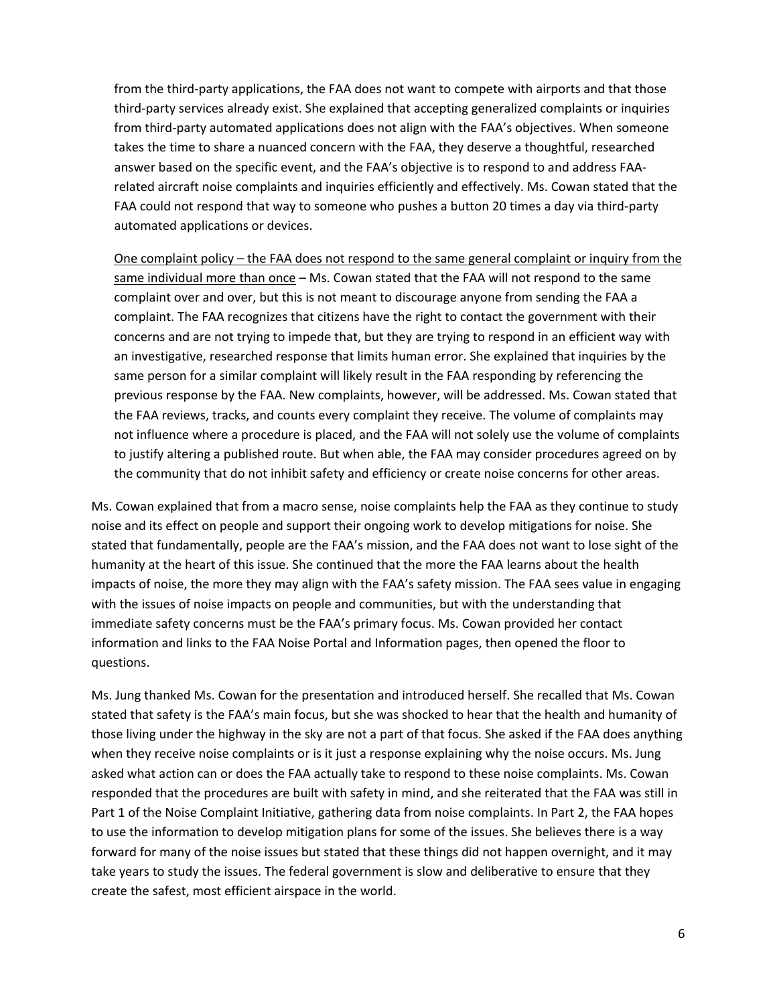from the third-party applications, the FAA does not want to compete with airports and that those third-party services already exist. She explained that accepting generalized complaints or inquiries from third-party automated applications does not align with the FAA's objectives. When someone takes the time to share a nuanced concern with the FAA, they deserve a thoughtful, researched answer based on the specific event, and the FAA's objective is to respond to and address FAArelated aircraft noise complaints and inquiries efficiently and effectively. Ms. Cowan stated that the FAA could not respond that way to someone who pushes a button 20 times a day via third-party automated applications or devices.

One complaint policy – the FAA does not respond to the same general complaint or inquiry from the same individual more than once - Ms. Cowan stated that the FAA will not respond to the same complaint over and over, but this is not meant to discourage anyone from sending the FAA a complaint. The FAA recognizes that citizens have the right to contact the government with their concerns and are not trying to impede that, but they are trying to respond in an efficient way with an investigative, researched response that limits human error. She explained that inquiries by the same person for a similar complaint will likely result in the FAA responding by referencing the previous response by the FAA. New complaints, however, will be addressed. Ms. Cowan stated that the FAA reviews, tracks, and counts every complaint they receive. The volume of complaints may not influence where a procedure is placed, and the FAA will not solely use the volume of complaints to justify altering a published route. But when able, the FAA may consider procedures agreed on by the community that do not inhibit safety and efficiency or create noise concerns for other areas.

Ms. Cowan explained that from a macro sense, noise complaints help the FAA as they continue to study noise and its effect on people and support their ongoing work to develop mitigations for noise. She stated that fundamentally, people are the FAA's mission, and the FAA does not want to lose sight of the humanity at the heart of this issue. She continued that the more the FAA learns about the health impacts of noise, the more they may align with the FAA's safety mission. The FAA sees value in engaging with the issues of noise impacts on people and communities, but with the understanding that immediate safety concerns must be the FAA's primary focus. Ms. Cowan provided her contact information and links to the FAA Noise Portal and Information pages, then opened the floor to questions.

Ms. Jung thanked Ms. Cowan for the presentation and introduced herself. She recalled that Ms. Cowan stated that safety is the FAA's main focus, but she was shocked to hear that the health and humanity of those living under the highway in the sky are not a part of that focus. She asked if the FAA does anything when they receive noise complaints or is it just a response explaining why the noise occurs. Ms. Jung asked what action can or does the FAA actually take to respond to these noise complaints. Ms. Cowan responded that the procedures are built with safety in mind, and she reiterated that the FAA was still in Part 1 of the Noise Complaint Initiative, gathering data from noise complaints. In Part 2, the FAA hopes to use the information to develop mitigation plans for some of the issues. She believes there is a way forward for many of the noise issues but stated that these things did not happen overnight, and it may take years to study the issues. The federal government is slow and deliberative to ensure that they create the safest, most efficient airspace in the world.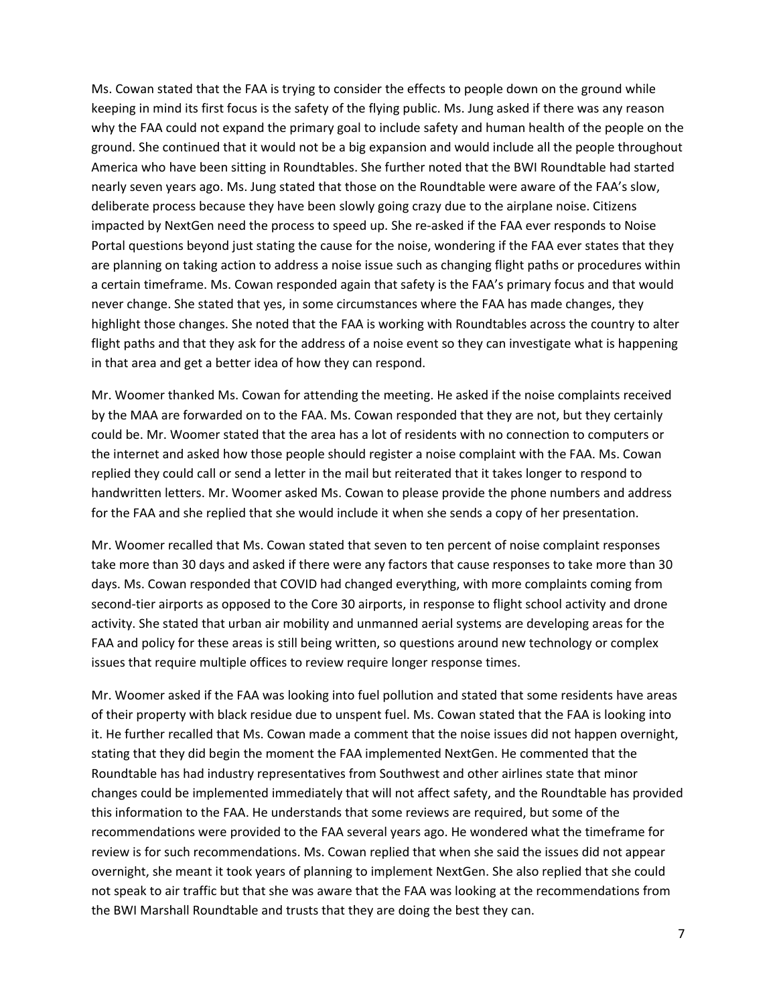Ms. Cowan stated that the FAA is trying to consider the effects to people down on the ground while keeping in mind its first focus is the safety of the flying public. Ms. Jung asked if there was any reason why the FAA could not expand the primary goal to include safety and human health of the people on the ground. She continued that it would not be a big expansion and would include all the people throughout America who have been sitting in Roundtables. She further noted that the BWI Roundtable had started nearly seven years ago. Ms. Jung stated that those on the Roundtable were aware of the FAA's slow, deliberate process because they have been slowly going crazy due to the airplane noise. Citizens impacted by NextGen need the process to speed up. She re-asked if the FAA ever responds to Noise Portal questions beyond just stating the cause for the noise, wondering if the FAA ever states that they are planning on taking action to address a noise issue such as changing flight paths or procedures within a certain timeframe. Ms. Cowan responded again that safety is the FAA's primary focus and that would never change. She stated that yes, in some circumstances where the FAA has made changes, they highlight those changes. She noted that the FAA is working with Roundtables across the country to alter flight paths and that they ask for the address of a noise event so they can investigate what is happening in that area and get a better idea of how they can respond.

Mr. Woomer thanked Ms. Cowan for attending the meeting. He asked if the noise complaints received by the MAA are forwarded on to the FAA. Ms. Cowan responded that they are not, but they certainly could be. Mr. Woomer stated that the area has a lot of residents with no connection to computers or the internet and asked how those people should register a noise complaint with the FAA. Ms. Cowan replied they could call or send a letter in the mail but reiterated that it takes longer to respond to handwritten letters. Mr. Woomer asked Ms. Cowan to please provide the phone numbers and address for the FAA and she replied that she would include it when she sends a copy of her presentation.

Mr. Woomer recalled that Ms. Cowan stated that seven to ten percent of noise complaint responses take more than 30 days and asked if there were any factors that cause responses to take more than 30 days. Ms. Cowan responded that COVID had changed everything, with more complaints coming from second-tier airports as opposed to the Core 30 airports, in response to flight school activity and drone activity. She stated that urban air mobility and unmanned aerial systems are developing areas for the FAA and policy for these areas is still being written, so questions around new technology or complex issues that require multiple offices to review require longer response times.

Mr. Woomer asked if the FAA was looking into fuel pollution and stated that some residents have areas of their property with black residue due to unspent fuel. Ms. Cowan stated that the FAA is looking into it. He further recalled that Ms. Cowan made a comment that the noise issues did not happen overnight, stating that they did begin the moment the FAA implemented NextGen. He commented that the Roundtable has had industry representatives from Southwest and other airlines state that minor changes could be implemented immediately that will not affect safety, and the Roundtable has provided this information to the FAA. He understands that some reviews are required, but some of the recommendations were provided to the FAA several years ago. He wondered what the timeframe for review is for such recommendations. Ms. Cowan replied that when she said the issues did not appear overnight, she meant it took years of planning to implement NextGen. She also replied that she could not speak to air traffic but that she was aware that the FAA was looking at the recommendations from the BWI Marshall Roundtable and trusts that they are doing the best they can.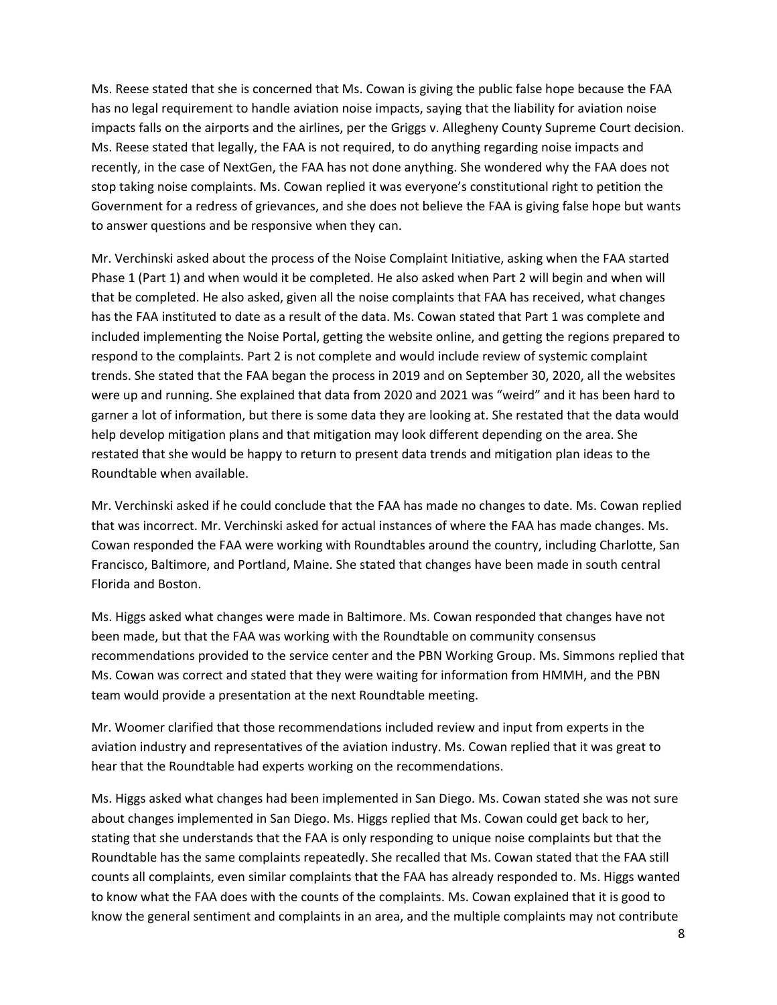Ms. Reese stated that she is concerned that Ms. Cowan is giving the public false hope because the FAA has no legal requirement to handle aviation noise impacts, saying that the liability for aviation noise impacts falls on the airports and the airlines, per the Griggs v. Allegheny County Supreme Court decision. Ms. Reese stated that legally, the FAA is not required, to do anything regarding noise impacts and recently, in the case of NextGen, the FAA has not done anything. She wondered why the FAA does not stop taking noise complaints. Ms. Cowan replied it was everyone's constitutional right to petition the Government for a redress of grievances, and she does not believe the FAA is giving false hope but wants to answer questions and be responsive when they can.

Mr. Verchinski asked about the process of the Noise Complaint Initiative, asking when the FAA started Phase 1 (Part 1) and when would it be completed. He also asked when Part 2 will begin and when will that be completed. He also asked, given all the noise complaints that FAA has received, what changes has the FAA instituted to date as a result of the data. Ms. Cowan stated that Part 1 was complete and included implementing the Noise Portal, getting the website online, and getting the regions prepared to respond to the complaints. Part 2 is not complete and would include review of systemic complaint trends. She stated that the FAA began the process in 2019 and on September 30, 2020, all the websites were up and running. She explained that data from 2020 and 2021 was "weird" and it has been hard to garner a lot of information, but there is some data they are looking at. She restated that the data would help develop mitigation plans and that mitigation may look different depending on the area. She restated that she would be happy to return to present data trends and mitigation plan ideas to the Roundtable when available.

Mr. Verchinski asked if he could conclude that the FAA has made no changes to date. Ms. Cowan replied that was incorrect. Mr. Verchinski asked for actual instances of where the FAA has made changes. Ms. Cowan responded the FAA were working with Roundtables around the country, including Charlotte, San Francisco, Baltimore, and Portland, Maine. She stated that changes have been made in south central Florida and Boston.

Ms. Higgs asked what changes were made in Baltimore. Ms. Cowan responded that changes have not been made, but that the FAA was working with the Roundtable on community consensus recommendations provided to the service center and the PBN Working Group. Ms. Simmons replied that Ms. Cowan was correct and stated that they were waiting for information from HMMH, and the PBN team would provide a presentation at the next Roundtable meeting.

Mr. Woomer clarified that those recommendations included review and input from experts in the aviation industry and representatives of the aviation industry. Ms. Cowan replied that it was great to hear that the Roundtable had experts working on the recommendations.

Ms. Higgs asked what changes had been implemented in San Diego. Ms. Cowan stated she was not sure about changes implemented in San Diego. Ms. Higgs replied that Ms. Cowan could get back to her, stating that she understands that the FAA is only responding to unique noise complaints but that the Roundtable has the same complaints repeatedly. She recalled that Ms. Cowan stated that the FAA still counts all complaints, even similar complaints that the FAA has already responded to. Ms. Higgs wanted to know what the FAA does with the counts of the complaints. Ms. Cowan explained that it is good to know the general sentiment and complaints in an area, and the multiple complaints may not contribute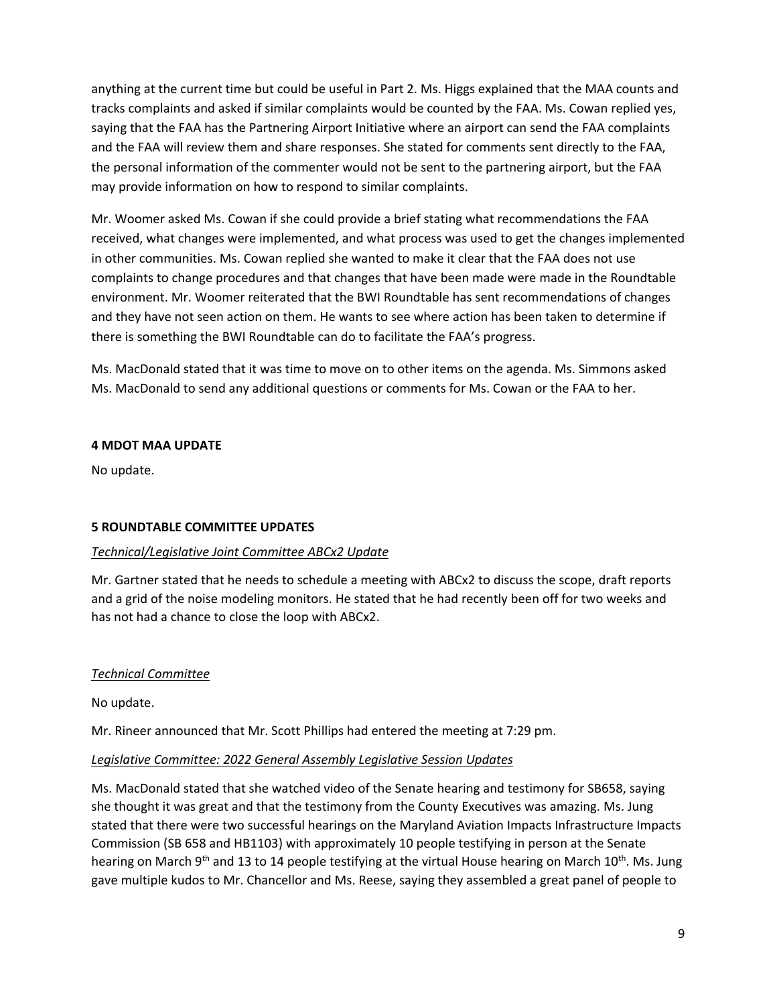anything at the current time but could be useful in Part 2. Ms. Higgs explained that the MAA counts and tracks complaints and asked if similar complaints would be counted by the FAA. Ms. Cowan replied yes, saying that the FAA has the Partnering Airport Initiative where an airport can send the FAA complaints and the FAA will review them and share responses. She stated for comments sent directly to the FAA, the personal information of the commenter would not be sent to the partnering airport, but the FAA may provide information on how to respond to similar complaints.

Mr. Woomer asked Ms. Cowan if she could provide a brief stating what recommendations the FAA received, what changes were implemented, and what process was used to get the changes implemented in other communities. Ms. Cowan replied she wanted to make it clear that the FAA does not use complaints to change procedures and that changes that have been made were made in the Roundtable environment. Mr. Woomer reiterated that the BWI Roundtable has sent recommendations of changes and they have not seen action on them. He wants to see where action has been taken to determine if there is something the BWI Roundtable can do to facilitate the FAA's progress.

Ms. MacDonald stated that it was time to move on to other items on the agenda. Ms. Simmons asked Ms. MacDonald to send any additional questions or comments for Ms. Cowan or the FAA to her.

### **4 MDOT MAA UPDATE**

No update.

# **5 ROUNDTABLE COMMITTEE UPDATES**

### *Technical/Legislative Joint Committee ABCx2 Update*

Mr. Gartner stated that he needs to schedule a meeting with ABCx2 to discuss the scope, draft reports and a grid of the noise modeling monitors. He stated that he had recently been off for two weeks and has not had a chance to close the loop with ABCx2.

### *Technical Committee*

No update.

Mr. Rineer announced that Mr. Scott Phillips had entered the meeting at 7:29 pm.

### *Legislative Committee: 2022 General Assembly Legislative Session Updates*

Ms. MacDonald stated that she watched video of the Senate hearing and testimony for SB658, saying she thought it was great and that the testimony from the County Executives was amazing. Ms. Jung stated that there were two successful hearings on the Maryland Aviation Impacts Infrastructure Impacts Commission (SB 658 and HB1103) with approximately 10 people testifying in person at the Senate hearing on March 9<sup>th</sup> and 13 to 14 people testifying at the virtual House hearing on March 10<sup>th</sup>. Ms. Jung gave multiple kudos to Mr. Chancellor and Ms. Reese, saying they assembled a great panel of people to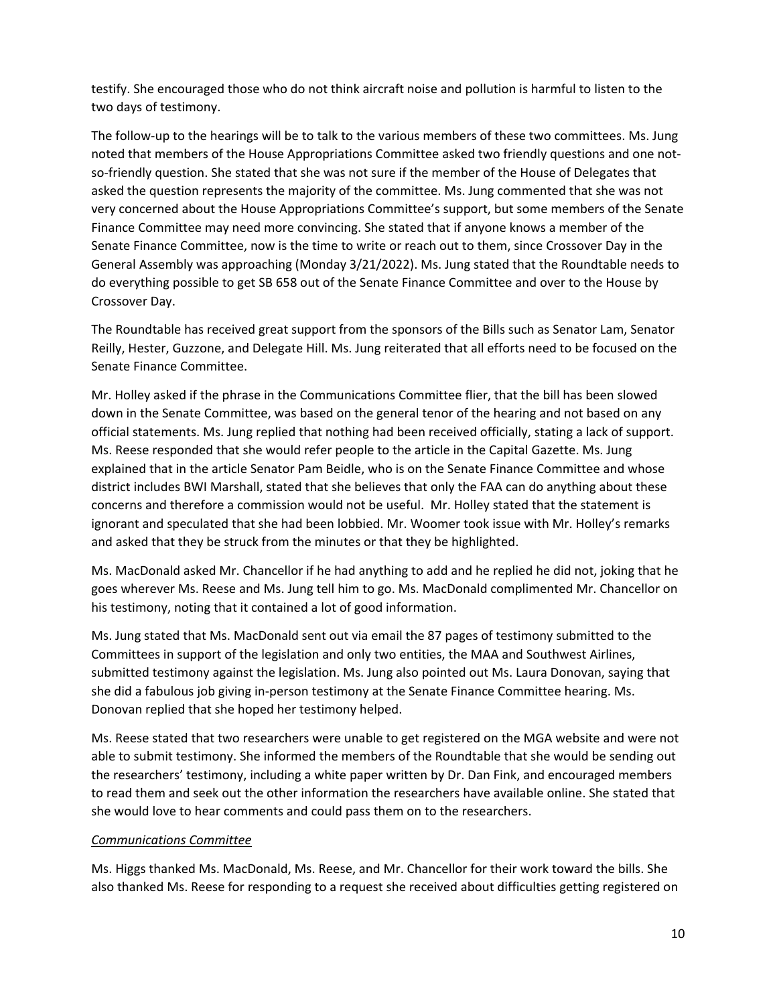testify. She encouraged those who do not think aircraft noise and pollution is harmful to listen to the two days of testimony.

The follow-up to the hearings will be to talk to the various members of these two committees. Ms. Jung noted that members of the House Appropriations Committee asked two friendly questions and one notso-friendly question. She stated that she was not sure if the member of the House of Delegates that asked the question represents the majority of the committee. Ms. Jung commented that she was not very concerned about the House Appropriations Committee's support, but some members of the Senate Finance Committee may need more convincing. She stated that if anyone knows a member of the Senate Finance Committee, now is the time to write or reach out to them, since Crossover Day in the General Assembly was approaching (Monday 3/21/2022). Ms. Jung stated that the Roundtable needs to do everything possible to get SB 658 out of the Senate Finance Committee and over to the House by Crossover Day.

The Roundtable has received great support from the sponsors of the Bills such as Senator Lam, Senator Reilly, Hester, Guzzone, and Delegate Hill. Ms. Jung reiterated that all efforts need to be focused on the Senate Finance Committee.

Mr. Holley asked if the phrase in the Communications Committee flier, that the bill has been slowed down in the Senate Committee, was based on the general tenor of the hearing and not based on any official statements. Ms. Jung replied that nothing had been received officially, stating a lack of support. Ms. Reese responded that she would refer people to the article in the Capital Gazette. Ms. Jung explained that in the article Senator Pam Beidle, who is on the Senate Finance Committee and whose district includes BWI Marshall, stated that she believes that only the FAA can do anything about these concerns and therefore a commission would not be useful. Mr. Holley stated that the statement is ignorant and speculated that she had been lobbied. Mr. Woomer took issue with Mr. Holley's remarks and asked that they be struck from the minutes or that they be highlighted.

Ms. MacDonald asked Mr. Chancellor if he had anything to add and he replied he did not, joking that he goes wherever Ms. Reese and Ms. Jung tell him to go. Ms. MacDonald complimented Mr. Chancellor on his testimony, noting that it contained a lot of good information.

Ms. Jung stated that Ms. MacDonald sent out via email the 87 pages of testimony submitted to the Committees in support of the legislation and only two entities, the MAA and Southwest Airlines, submitted testimony against the legislation. Ms. Jung also pointed out Ms. Laura Donovan, saying that she did a fabulous job giving in-person testimony at the Senate Finance Committee hearing. Ms. Donovan replied that she hoped her testimony helped.

Ms. Reese stated that two researchers were unable to get registered on the MGA website and were not able to submit testimony. She informed the members of the Roundtable that she would be sending out the researchers' testimony, including a white paper written by Dr. Dan Fink, and encouraged members to read them and seek out the other information the researchers have available online. She stated that she would love to hear comments and could pass them on to the researchers.

### *Communications Committee*

Ms. Higgs thanked Ms. MacDonald, Ms. Reese, and Mr. Chancellor for their work toward the bills. She also thanked Ms. Reese for responding to a request she received about difficulties getting registered on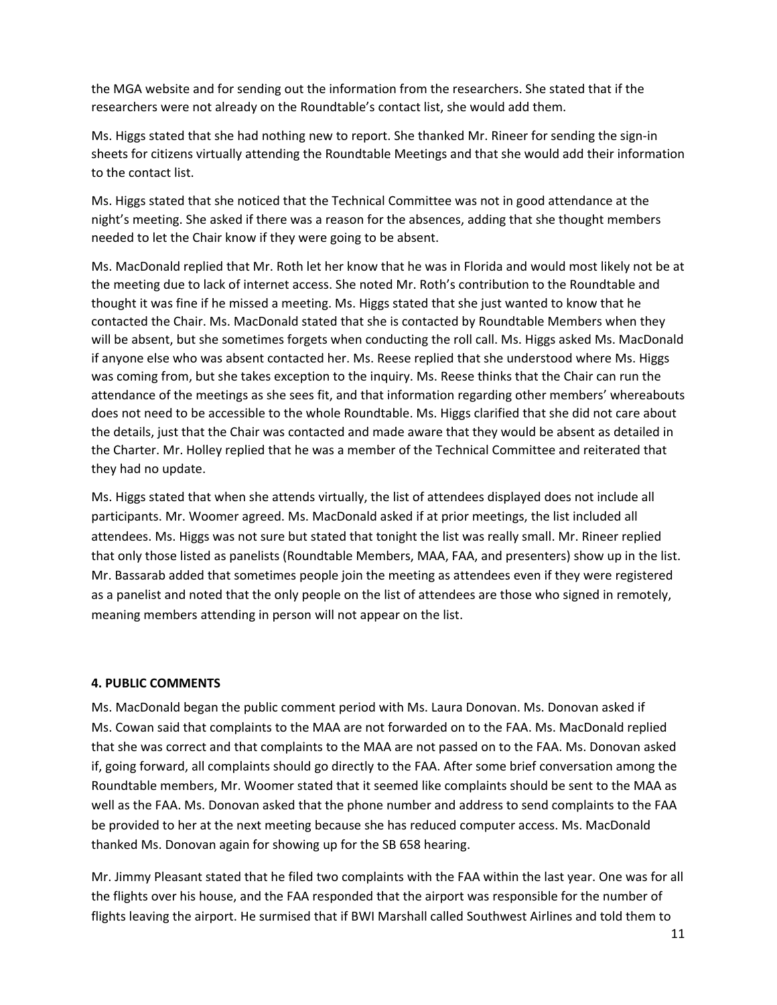the MGA website and for sending out the information from the researchers. She stated that if the researchers were not already on the Roundtable's contact list, she would add them.

Ms. Higgs stated that she had nothing new to report. She thanked Mr. Rineer for sending the sign-in sheets for citizens virtually attending the Roundtable Meetings and that she would add their information to the contact list.

Ms. Higgs stated that she noticed that the Technical Committee was not in good attendance at the night's meeting. She asked if there was a reason for the absences, adding that she thought members needed to let the Chair know if they were going to be absent.

Ms. MacDonald replied that Mr. Roth let her know that he was in Florida and would most likely not be at the meeting due to lack of internet access. She noted Mr. Roth's contribution to the Roundtable and thought it was fine if he missed a meeting. Ms. Higgs stated that she just wanted to know that he contacted the Chair. Ms. MacDonald stated that she is contacted by Roundtable Members when they will be absent, but she sometimes forgets when conducting the roll call. Ms. Higgs asked Ms. MacDonald if anyone else who was absent contacted her. Ms. Reese replied that she understood where Ms. Higgs was coming from, but she takes exception to the inquiry. Ms. Reese thinks that the Chair can run the attendance of the meetings as she sees fit, and that information regarding other members' whereabouts does not need to be accessible to the whole Roundtable. Ms. Higgs clarified that she did not care about the details, just that the Chair was contacted and made aware that they would be absent as detailed in the Charter. Mr. Holley replied that he was a member of the Technical Committee and reiterated that they had no update.

Ms. Higgs stated that when she attends virtually, the list of attendees displayed does not include all participants. Mr. Woomer agreed. Ms. MacDonald asked if at prior meetings, the list included all attendees. Ms. Higgs was not sure but stated that tonight the list was really small. Mr. Rineer replied that only those listed as panelists (Roundtable Members, MAA, FAA, and presenters) show up in the list. Mr. Bassarab added that sometimes people join the meeting as attendees even if they were registered as a panelist and noted that the only people on the list of attendees are those who signed in remotely, meaning members attending in person will not appear on the list.

### **4. PUBLIC COMMENTS**

Ms. MacDonald began the public comment period with Ms. Laura Donovan. Ms. Donovan asked if Ms. Cowan said that complaints to the MAA are not forwarded on to the FAA. Ms. MacDonald replied that she was correct and that complaints to the MAA are not passed on to the FAA. Ms. Donovan asked if, going forward, all complaints should go directly to the FAA. After some brief conversation among the Roundtable members, Mr. Woomer stated that it seemed like complaints should be sent to the MAA as well as the FAA. Ms. Donovan asked that the phone number and address to send complaints to the FAA be provided to her at the next meeting because she has reduced computer access. Ms. MacDonald thanked Ms. Donovan again for showing up for the SB 658 hearing.

Mr. Jimmy Pleasant stated that he filed two complaints with the FAA within the last year. One was for all the flights over his house, and the FAA responded that the airport was responsible for the number of flights leaving the airport. He surmised that if BWI Marshall called Southwest Airlines and told them to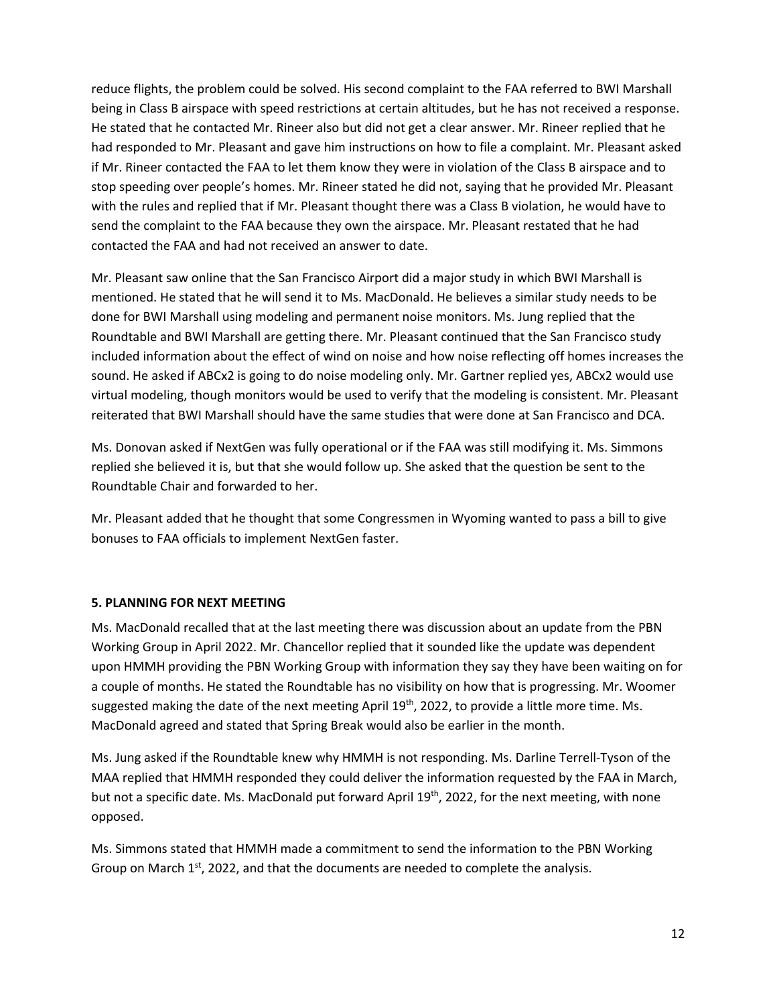reduce flights, the problem could be solved. His second complaint to the FAA referred to BWI Marshall being in Class B airspace with speed restrictions at certain altitudes, but he has not received a response. He stated that he contacted Mr. Rineer also but did not get a clear answer. Mr. Rineer replied that he had responded to Mr. Pleasant and gave him instructions on how to file a complaint. Mr. Pleasant asked if Mr. Rineer contacted the FAA to let them know they were in violation of the Class B airspace and to stop speeding over people's homes. Mr. Rineer stated he did not, saying that he provided Mr. Pleasant with the rules and replied that if Mr. Pleasant thought there was a Class B violation, he would have to send the complaint to the FAA because they own the airspace. Mr. Pleasant restated that he had contacted the FAA and had not received an answer to date.

Mr. Pleasant saw online that the San Francisco Airport did a major study in which BWI Marshall is mentioned. He stated that he will send it to Ms. MacDonald. He believes a similar study needs to be done for BWI Marshall using modeling and permanent noise monitors. Ms. Jung replied that the Roundtable and BWI Marshall are getting there. Mr. Pleasant continued that the San Francisco study included information about the effect of wind on noise and how noise reflecting off homes increases the sound. He asked if ABCx2 is going to do noise modeling only. Mr. Gartner replied yes, ABCx2 would use virtual modeling, though monitors would be used to verify that the modeling is consistent. Mr. Pleasant reiterated that BWI Marshall should have the same studies that were done at San Francisco and DCA.

Ms. Donovan asked if NextGen was fully operational or if the FAA was still modifying it. Ms. Simmons replied she believed it is, but that she would follow up. She asked that the question be sent to the Roundtable Chair and forwarded to her.

Mr. Pleasant added that he thought that some Congressmen in Wyoming wanted to pass a bill to give bonuses to FAA officials to implement NextGen faster.

### **5. PLANNING FOR NEXT MEETING**

Ms. MacDonald recalled that at the last meeting there was discussion about an update from the PBN Working Group in April 2022. Mr. Chancellor replied that it sounded like the update was dependent upon HMMH providing the PBN Working Group with information they say they have been waiting on for a couple of months. He stated the Roundtable has no visibility on how that is progressing. Mr. Woomer suggested making the date of the next meeting April 19<sup>th</sup>, 2022, to provide a little more time. Ms. MacDonald agreed and stated that Spring Break would also be earlier in the month.

Ms. Jung asked if the Roundtable knew why HMMH is not responding. Ms. Darline Terrell-Tyson of the MAA replied that HMMH responded they could deliver the information requested by the FAA in March, but not a specific date. Ms. MacDonald put forward April 19<sup>th</sup>, 2022, for the next meeting, with none opposed.

Ms. Simmons stated that HMMH made a commitment to send the information to the PBN Working Group on March  $1<sup>st</sup>$ , 2022, and that the documents are needed to complete the analysis.